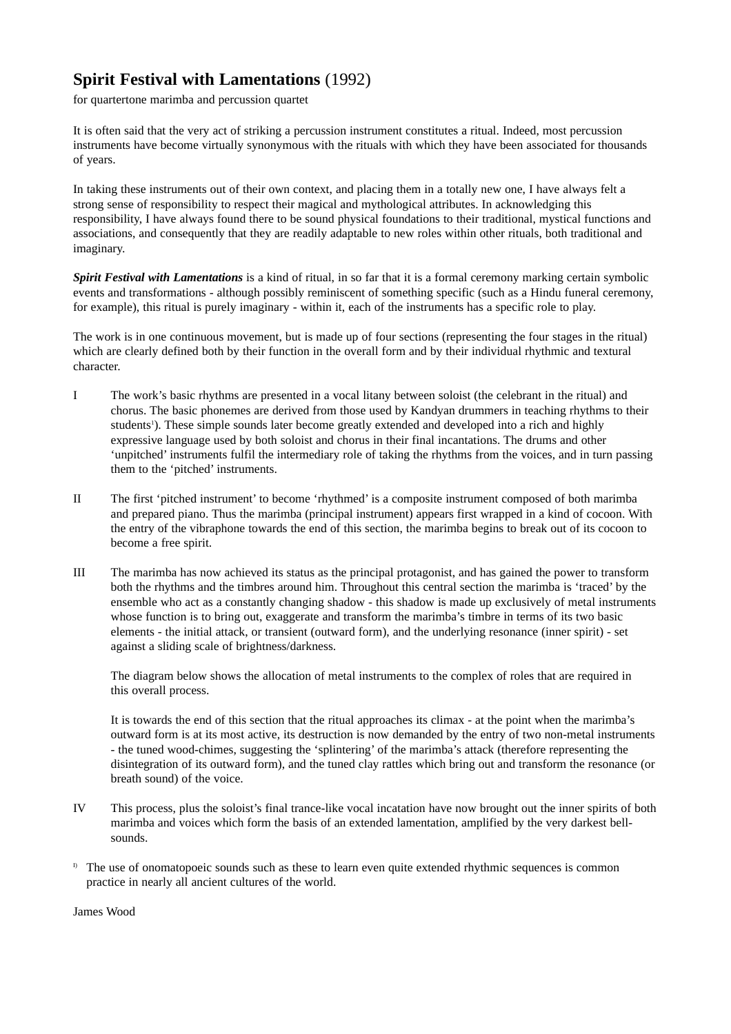## **Spirit Festival with Lamentations** (1992)

for quartertone marimba and percussion quartet

It is often said that the very act of striking a percussion instrument constitutes a ritual. Indeed, most percussion instruments have become virtually synonymous with the rituals with which they have been associated for thousands of years.

In taking these instruments out of their own context, and placing them in a totally new one, I have always felt a strong sense of responsibility to respect their magical and mythological attributes. In acknowledging this responsibility, I have always found there to be sound physical foundations to their traditional, mystical functions and associations, and consequently that they are readily adaptable to new roles within other rituals, both traditional and imaginary.

*Spirit Festival with Lamentations* is a kind of ritual, in so far that it is a formal ceremony marking certain symbolic events and transformations - although possibly reminiscent of something specific (such as a Hindu funeral ceremony, for example), this ritual is purely imaginary - within it, each of the instruments has a specific role to play.

The work is in one continuous movement, but is made up of four sections (representing the four stages in the ritual) which are clearly defined both by their function in the overall form and by their individual rhythmic and textural character.

- I The work's basic rhythms are presented in a vocal litany between soloist (the celebrant in the ritual) and chorus. The basic phonemes are derived from those used by Kandyan drummers in teaching rhythms to their students<sup>1</sup>). These simple sounds later become greatly extended and developed into a rich and highly expressive language used by both soloist and chorus in their final incantations. The drums and other 'unpitched' instruments fulfil the intermediary role of taking the rhythms from the voices, and in turn passing them to the 'pitched' instruments.
- II The first 'pitched instrument' to become 'rhythmed' is a composite instrument composed of both marimba and prepared piano. Thus the marimba (principal instrument) appears first wrapped in a kind of cocoon. With the entry of the vibraphone towards the end of this section, the marimba begins to break out of its cocoon to become a free spirit.
- III The marimba has now achieved its status as the principal protagonist, and has gained the power to transform both the rhythms and the timbres around him. Throughout this central section the marimba is 'traced' by the ensemble who act as a constantly changing shadow - this shadow is made up exclusively of metal instruments whose function is to bring out, exaggerate and transform the marimba's timbre in terms of its two basic elements - the initial attack, or transient (outward form), and the underlying resonance (inner spirit) - set against a sliding scale of brightness/darkness.

The diagram below shows the allocation of metal instruments to the complex of roles that are required in this overall process.

It is towards the end of this section that the ritual approaches its climax - at the point when the marimba's outward form is at its most active, its destruction is now demanded by the entry of two non-metal instruments - the tuned wood-chimes, suggesting the 'splintering' of the marimba's attack (therefore representing the disintegration of its outward form), and the tuned clay rattles which bring out and transform the resonance (or breath sound) of the voice.

- IV This process, plus the soloist's final trance-like vocal incatation have now brought out the inner spirits of both marimba and voices which form the basis of an extended lamentation, amplified by the very darkest bellsounds.
- $\overline{D}$  The use of onomatopoeic sounds such as these to learn even quite extended rhythmic sequences is common practice in nearly all ancient cultures of the world.

James Wood